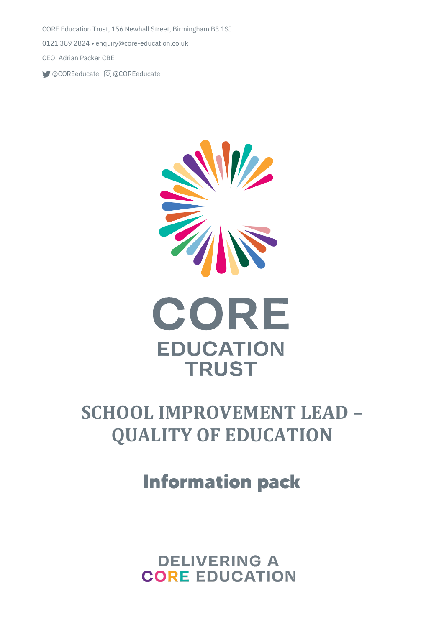CORE Education Trust, 156 Newhall Street, Birmingham B3 1SJ 0121 389 2824 • [enquiry@core-education.co.uk](mailto:enquiry@core-education.co.uk) CEO: Adrian Packer CBE

@COREeducate @COREeducate



# **SCHOOL IMPROVEMENT LEAD – QUALITY OF EDUCATION**

**Information pack**

**DELIVERING A CORE EDUCATION**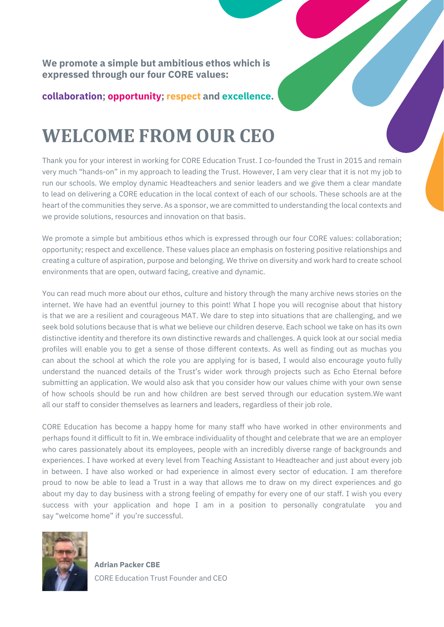**We promote a simple but ambitious ethos which is expressed through our four CORE values:**

**collaboration; opportunity; respect and excellence.**

# **WELCOME FROM OUR CEO**

Thank you for your interest in working for CORE Education Trust. I co-founded the Trust in 2015 and remain very much "hands-on" in my approach to leading the Trust. However, I am very clear that it is not my job to run our schools. We employ dynamic Headteachers and senior leaders and we give them a clear mandate to lead on delivering a CORE education in the local context of each of our schools. These schools are at the heart of the communities they serve. As a sponsor, we are committed to understanding the local contexts and we provide solutions, resources and innovation on that basis.

We promote a simple but ambitious ethos which is expressed through our four CORE values: collaboration; opportunity; respect and excellence. These values place an emphasis on fostering positive relationships and creating a culture of aspiration, purpose and belonging. We thrive on diversity and work hard to create school environments that are open, outward facing, creative and dynamic.

You can read much more about our ethos, culture and history through the many archive news stories on the internet. We have had an eventful journey to this point! What I hope you will recognise about that history is that we are a resilient and courageous MAT. We dare to step into situations that are challenging, and we seek bold solutions because that is what we believe our children deserve. Each school we take on has its own distinctive identity and therefore its own distinctive rewards and challenges. A quick look at our social media profiles will enable you to get a sense of those different contexts. As well as finding out as muchas you can about the school at which the role you are applying for is based, I would also encourage youto fully understand the nuanced details of the Trust's wider work through projects such as Echo Eternal before submitting an application. We would also ask that you consider how our values chime with your own sense of how schools should be run and how children are best served through our education system.We want all our staff to consider themselves as learners and leaders, regardless of their job role.

CORE Education has become a happy home for many staff who have worked in other environments and perhaps found it difficult to fit in. We embrace individuality of thought and celebrate that we are an employer who cares passionately about its employees, people with an incredibly diverse range of backgrounds and experiences. I have worked at every level from Teaching Assistant to Headteacher and just about every job in between. I have also worked or had experience in almost every sector of education. I am therefore proud to now be able to lead a Trust in a way that allows me to draw on my direct experiences and go about my day to day business with a strong feeling of empathy for every one of our staff. I wish you every success with your application and hope I am in a position to personally congratulate you and say "welcome home" if you're successful.



**Adrian Packer CBE** CORE Education Trust Founder and CEO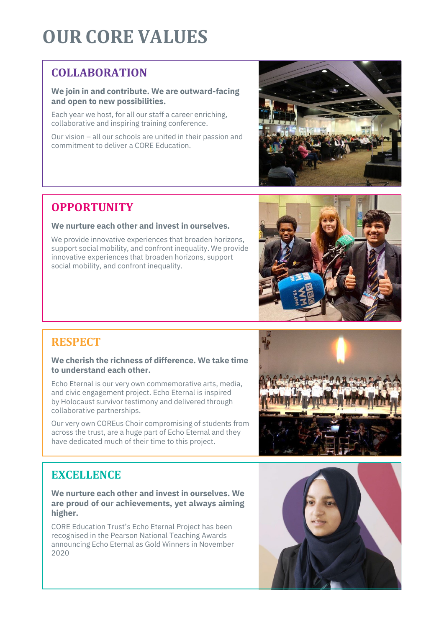# **OUR CORE VALUES**

# **COLLABORATION**

### **We join in and contribute. We are outward-facing and open to new possibilities.**

Each year we host, for all our staff a career enriching, collaborative and inspiring training conference.

Our vision – all our schools are united in their passion and commitment to deliver a CORE Education.



# **OPPORTUNITY**

### **We nurture each other and invest in ourselves.**

We provide innovative experiences that broaden horizons, support social mobility, and confront inequality. We provide innovative experiences that broaden horizons, support social mobility, and confront inequality.



# **RESPECT**

#### **We cherish the richness of difference. We take time to understand each other.**

Echo Eternal is our very own commemorative arts, media, and civic engagement project. Echo Eternal is inspired by Holocaust survivor testimony and delivered through collaborative partnerships.

Our very own COREus Choir compromising of students from across the trust, are a huge part of Echo Eternal and they have dedicated much of their time to this project.



# **EXCELLENCE**

#### **We nurture each other and invest in ourselves. We are proud of our achievements, yet always aiming higher.**

CORE Education Trust's Echo Eternal Project has been recognised in the Pearson National Teaching Awards announcing Echo Eternal as Gold Winners in November 2020

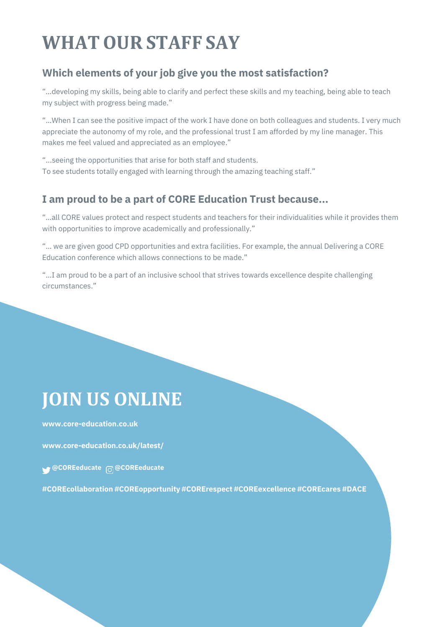# **WHATOUR STAFF SAY**

# **Which elements of your job give you the most satisfaction?**

"…developing my skills, being able to clarify and perfect these skills and my teaching, being able to teach my subject with progress being made."

"…When I can see the positive impact of the work I have done on both colleagues and students. I very much appreciate the autonomy of my role, and the professional trust I am afforded by my line manager. This makes me feel valued and appreciated as an employee."

"...seeing the opportunities that arise for both staff and students. To see students totally engaged with learning through the amazing teaching staff."

## **I am proud to be a part of CORE Education Trust because...**

"…all CORE values protect and respect students and teachers for their individualities while it provides them with opportunities to improve academically and professionally."

"… we are given good CPD opportunities and extra facilities. For example, the annual Delivering a CORE Education conference which allows connections to be made."

"…I am proud to be a part of an inclusive school that strives towards excellence despite challenging circumstances."

# **JOIN US ONLINE**

**[www.core-education.co.uk](http://www.core-education.co.uk/)**

**[www.core-education.co.uk/latest/](http://www.core-education.co.uk/latest/)**

**@COREeducate @COREeducate**

**#COREcollaboration #COREopportunity #CORErespect #COREexcellence #COREcares #DACE**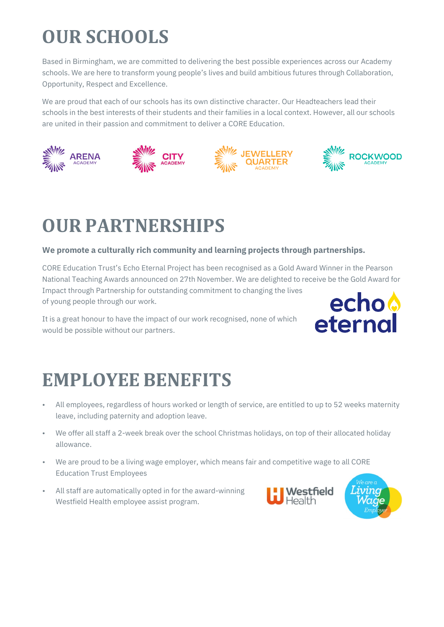# **OUR SCHOOLS**

Based in Birmingham, we are committed to delivering the best possible experiences across our Academy schools. We are here to transform young people's lives and build ambitious futures through Collaboration, Opportunity, Respect and Excellence.

We are proud that each of our schools has its own distinctive character. Our Headteachers lead their schools in the best interests of their students and their families in a local context. However, all our schools are united in their passion and commitment to deliver a CORE Education.



# **OUR PARTNERSHIPS**

### **We promote a culturally rich community and learning projects through partnerships.**

CORE Education Trust's Echo Eternal Project has been recognised as a Gold Award Winner in the Pearson National Teaching Awards announced on 27th November. We are delighted to receive be the Gold Award for Impact through Partnership for outstanding commitment to changing the lives of young people through our work.

It is a great honour to have the impact of our work recognised, none of which would be possible without our partners.



# **EMPLOYEE BENEFITS**

- All employees, regardless of hours worked or length of service, are entitled to up to 52 weeks maternity leave, including paternity and adoption leave.
- We offer all staff a 2-week break over the school Christmas holidays, on top of their allocated holiday allowance.
- We are proud to be a living wage employer, which means fair and competitive wage to all CORE Education Trust Employees
- All staff are automatically opted in for the award-winning Westfield Health employee assist program.

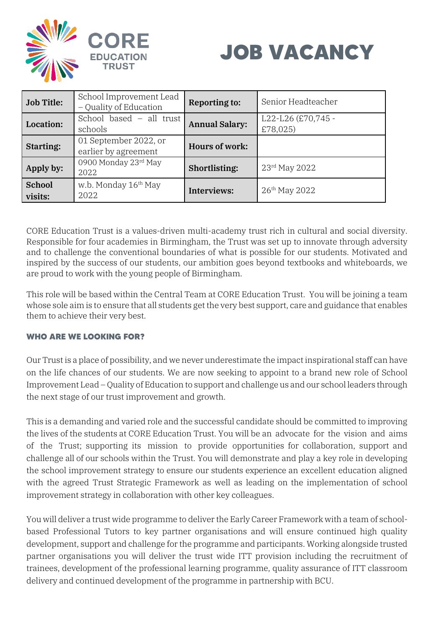



| <b>Job Title:</b> | School Improvement Lead<br>- Quality of Education | <b>Reporting to:</b>  | Senior Headteacher             |
|-------------------|---------------------------------------------------|-----------------------|--------------------------------|
| Location:         | School based - all trust<br>schools               | <b>Annual Salary:</b> | L22-L26 (£70,745 -<br>£78,025) |
| <b>Starting:</b>  | 01 September 2022, or<br>earlier by agreement     | Hours of work:        |                                |
| Apply by:         | 0900 Monday 23rd May<br>2022                      | Shortlisting:         | 23rd May 2022                  |
| School<br>visits: | w.b. Monday 16th May<br>2022                      | Interviews:           | $26^{th}$ May 2022             |

CORE Education Trust is a values-driven multi-academy trust rich in cultural and social diversity. Responsible for four academies in Birmingham, the Trust was set up to innovate through adversity and to challenge the conventional boundaries of what is possible for our students. Motivated and inspired by the success of our students, our ambition goes beyond textbooks and whiteboards, we are proud to work with the young people of Birmingham.

This role will be based within the Central Team at CORE Education Trust. You will be joining a team whose sole aim is to ensure that all students get the very best support, care and guidance that enables them to achieve their very best.

### **WHO ARE WE LOOKING FOR?**

Our Trust is a place of possibility, and we never underestimate the impact inspirational staff can have on the life chances of our students. We are now seeking to appoint to a brand new role of School Improvement Lead – Quality of Education to support and challenge us and our school leaders through the next stage of our trust improvement and growth.

This is a demanding and varied role and the successful candidate should be committed to improving the lives of the students at CORE Education Trust. You will be an advocate for the vision and aims of the Trust; supporting its mission to provide opportunities for collaboration, support and challenge all of our schools within the Trust. You will demonstrate and play a key role in developing the school improvement strategy to ensure our students experience an excellent education aligned with the agreed Trust Strategic Framework as well as leading on the implementation of school improvement strategy in collaboration with other key colleagues.

You will deliver a trust wide programme to deliver the Early Career Framework with a team of schoolbased Professional Tutors to key partner organisations and will ensure continued high quality development, support and challenge for the programme and participants. Working alongside trusted partner organisations you will deliver the trust wide ITT provision including the recruitment of trainees, development of the professional learning programme, quality assurance of ITT classroom delivery and continued development of the programme in partnership with BCU.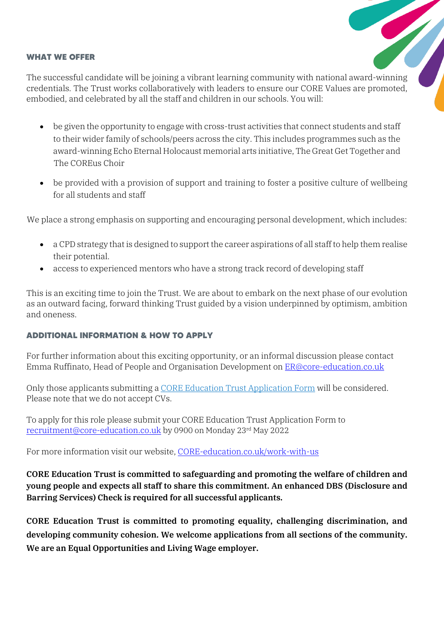#### **WHAT WE OFFER**

The successful candidate will be joining a vibrant learning community with national award-winning credentials. The Trust works collaboratively with leaders to ensure our CORE Values are promoted, embodied, and celebrated by all the staff and children in our schools. You will:

- be given the opportunity to engage with cross-trust activities that connect students and staff to their wider family of schools/peers across the city. This includes programmes such as the award-winning Echo Eternal Holocaust memorial arts initiative, The Great Get Together and The COREus Choir
- be provided with a provision of support and training to foster a positive culture of wellbeing for all students and staff

We place a strong emphasis on supporting and encouraging personal development, which includes:

- a CPD strategy that is designed to support the career aspirations of all staff to help them realise their potential.
- access to experienced mentors who have a strong track record of developing staff

This is an exciting time to join the Trust. We are about to embark on the next phase of our evolution as an outward facing, forward thinking Trust guided by a vision underpinned by optimism, ambition and oneness.

### **ADDITIONAL INFORMATION & HOW TO APPLY**

For further information about this exciting opportunity, or an informal discussion please contact Emma Ruffinato, Head of People and Organisation Development on **ER@core-education.co.uk** 

Only those applicants submitting a [CORE Education Trust Application Form](https://core-education.co.uk/wp-content/uploads/2021/03/R2-CORE-Education-Trust-Application-Form.docx) will be considered. Please note that we do not accept CVs.

To apply for this role please submit your CORE Education Trust Application Form to [recruitment@core-education.co.uk](mailto:recruitment@core-education.co.uk) by 0900 on Monday 23rd May 2022

For more information visit our website, [CORE-education.co.uk/work-with-us](http://www.core-education.co.uk/work-with-us)

**CORE Education Trust is committed to safeguarding and promoting the welfare of children and young people and expects all staff to share this commitment. An enhanced DBS (Disclosure and Barring Services) Check is required for all successful applicants.** 

**CORE Education Trust is committed to promoting equality, challenging discrimination, and developing community cohesion. We welcome applications from all sections of the community. We are an Equal Opportunities and Living Wage employer.**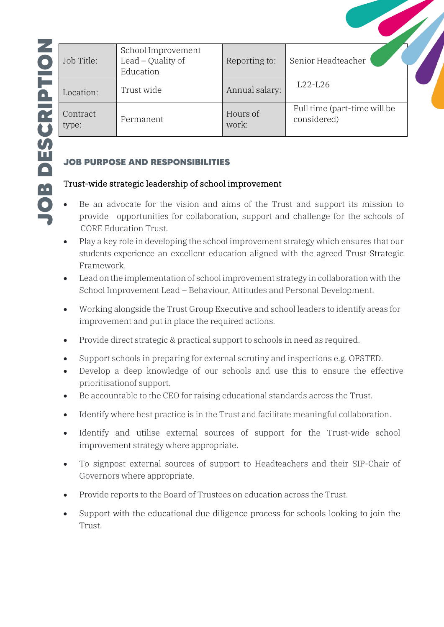| Job Title:        | School Improvement<br>Lead $-$ Quality of<br>Education | Reporting to:     | Senior Headteacher                          |  |
|-------------------|--------------------------------------------------------|-------------------|---------------------------------------------|--|
| Location:         | Trust wide                                             | Annual salary:    | $L22-L26$                                   |  |
| Contract<br>type: | Permanent                                              | Hours of<br>work: | Full time (part-time will be<br>considered) |  |

## **JOB PURPOSE AND RESPONSIBILITIES**

## Trust-wide strategic leadership of school improvement

- Be an advocate for the vision and aims of the Trust and support its mission to provide opportunities for collaboration, support and challenge for the schools of CORE Education Trust.
- Play a key role in developing the school improvement strategy which ensures that our students experience an excellent education aligned with the agreed Trust Strategic Framework.
- Lead on the implementation of school improvement strategy in collaboration with the School Improvement Lead – Behaviour, Attitudes and Personal Development.
- Working alongside the Trust Group Executive and school leaders to identify areas for improvement and put in place the required actions.
- Provide direct strategic & practical support to schools in need as required.
- Support schools in preparing for external scrutiny and inspections e.g. OFSTED.
- Develop a deep knowledge of our schools and use this to ensure the effective prioritisationof support.
- Be accountable to the CEO for raising educational standards across the Trust.
- Identify where best practice is in the Trust and facilitate meaningful collaboration.
- Identify and utilise external sources of support for the Trust-wide school improvement strategy where appropriate.
- To signpost external sources of support to Headteachers and their SIP-Chair of Governors where appropriate.
- Provide reports to the Board of Trustees on education across the Trust.
- Support with the educational due diligence process for schools looking to join the Trust.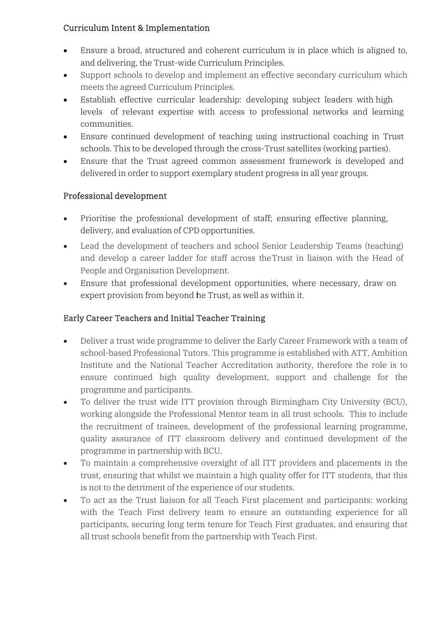### Curriculum Intent & Implementation

- Ensure a broad, structured and coherent curriculum is in place which is aligned to, and delivering, the Trust-wide Curriculum Principles.
- Support schools to develop and implement an effective secondary curriculum which meets the agreed Curriculum Principles.
- Establish effective curricular leadership: developing subject leaders with high levels of relevant expertise with access to professional networks and learning communities.
- Ensure continued development of teaching using instructional coaching in Trust schools. This to be developed through the cross-Trust satellites (working parties).
- Ensure that the Trust agreed common assessment framework is developed and delivered in order to support exemplary student progress in all year groups.

### Professional development

- Prioritise the professional development of staff; ensuring effective planning, delivery, and evaluation of CPD opportunities.
- Lead the development of teachers and school Senior Leadership Teams (teaching) and develop a career ladder for staff across theTrust in liaison with the Head of People and Organisation Development.
- Ensure that professional development opportunities, where necessary, draw on expert provision from beyond he Trust, as well as within it.

## Early Career Teachers and Initial Teacher Training

- Deliver a trust wide programme to deliver the Early Career Framework with a team of school-based Professional Tutors. This programme is established with ATT, Ambition Institute and the National Teacher Accreditation authority, therefore the role is to ensure continued high quality development, support and challenge for the programme and participants.
- To deliver the trust wide ITT provision through Birmingham City University (BCU), working alongside the Professional Mentor team in all trust schools. This to include the recruitment of trainees, development of the professional learning programme, quality assurance of ITT classroom delivery and continued development of the programme in partnership with BCU.
- To maintain a comprehensive oversight of all ITT providers and placements in the trust, ensuring that whilst we maintain a high quality offer for ITT students, that this is not to the detriment of the experience of our students.
- To act as the Trust liaison for all Teach First placement and participants: working with the Teach First delivery team to ensure an outstanding experience for all participants, securing long term tenure for Teach First graduates, and ensuring that all trust schools benefit from the partnership with Teach First.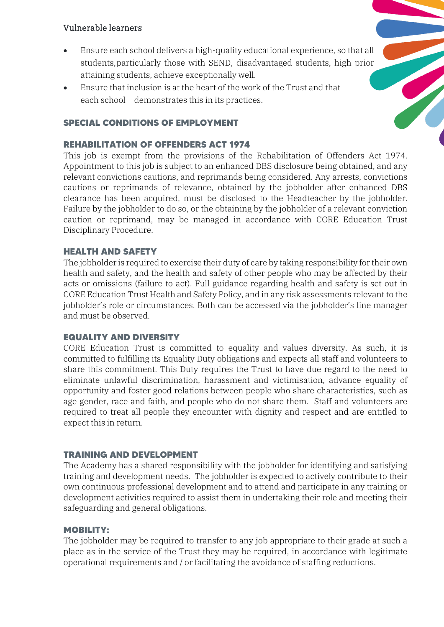### Vulnerable learners

- Ensure each school delivers a high-quality educational experience, so that all students,particularly those with SEND, disadvantaged students, high prior attaining students, achieve exceptionally well.
- Ensure that inclusion is at the heart of the work of the Trust and that each school demonstrates this in its practices.

### **SPECIAL CONDITIONS OF EMPLOYMENT**

#### **REHABILITATION OF OFFENDERS ACT 1974**

This job is exempt from the provisions of the Rehabilitation of Offenders Act 1974. Appointment to this job is subject to an enhanced DBS disclosure being obtained, and any relevant convictions cautions, and reprimands being considered. Any arrests, convictions cautions or reprimands of relevance, obtained by the jobholder after enhanced DBS clearance has been acquired, must be disclosed to the Headteacher by the jobholder. Failure by the jobholder to do so, or the obtaining by the jobholder of a relevant conviction caution or reprimand, may be managed in accordance with CORE Education Trust Disciplinary Procedure.

#### **HEALTH AND SAFETY**

The jobholder is required to exercise their duty of care by taking responsibility for their own health and safety, and the health and safety of other people who may be affected by their acts or omissions (failure to act). Full guidance regarding health and safety is set out in CORE Education Trust Health and Safety Policy, and in any risk assessments relevant to the jobholder's role or circumstances. Both can be accessed via the jobholder's line manager and must be observed.

### **EQUALITY AND DIVERSITY**

CORE Education Trust is committed to equality and values diversity. As such, it is committed to fulfilling its Equality Duty obligations and expects all staff and volunteers to share this commitment. This Duty requires the Trust to have due regard to the need to eliminate unlawful discrimination, harassment and victimisation, advance equality of opportunity and foster good relations between people who share characteristics, such as age gender, race and faith, and people who do not share them. Staff and volunteers are required to treat all people they encounter with dignity and respect and are entitled to expect this in return.

### **TRAINING AND DEVELOPMENT**

The Academy has a shared responsibility with the jobholder for identifying and satisfying training and development needs. The jobholder is expected to actively contribute to their own continuous professional development and to attend and participate in any training or development activities required to assist them in undertaking their role and meeting their safeguarding and general obligations.

#### **MOBILITY:**

The jobholder may be required to transfer to any job appropriate to their grade at such a place as in the service of the Trust they may be required, in accordance with legitimate operational requirements and / or facilitating the avoidance of staffing reductions.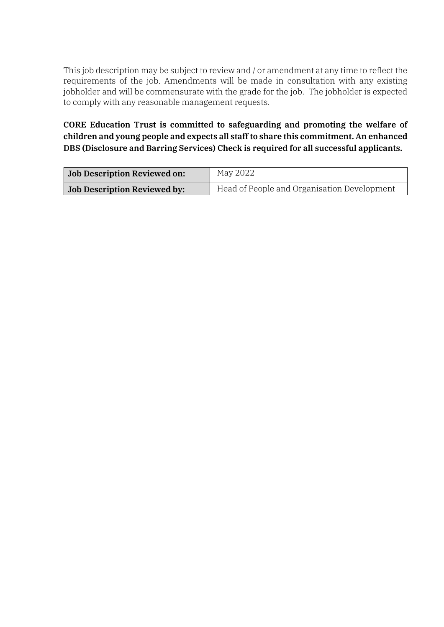This job description may be subject to review and / or amendment at any time to reflect the requirements of the job. Amendments will be made in consultation with any existing jobholder and will be commensurate with the grade for the job. The jobholder is expected to comply with any reasonable management requests.

**CORE Education Trust is committed to safeguarding and promoting the welfare of children and young people and expects all staff to share this commitment. An enhanced DBS (Disclosure and Barring Services) Check is required for all successful applicants.** 

| Job Description Reviewed on:        | May 2022                                    |
|-------------------------------------|---------------------------------------------|
| <b>Job Description Reviewed by:</b> | Head of People and Organisation Development |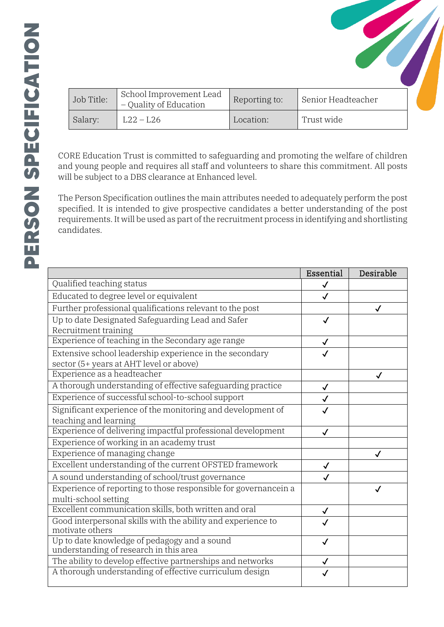| Job Title: | School Improvement Lead<br>$\sqrt{ }$ – Quality of Education | Reporting to: | Senior Headteacher |  |
|------------|--------------------------------------------------------------|---------------|--------------------|--|
| Salary:    | $L22 - L26$                                                  | Location:     | Trust wide         |  |

CORE Education Trust is committed to safeguarding and promoting the welfare of children and young people and requires all staff and volunteers to share this commitment. All posts will be subject to a DBS clearance at Enhanced level.

The Person Specification outlines the main attributes needed to adequately perform the post specified. It is intended to give prospective candidates a better understanding of the post requirements. It will be used as part of the recruitment process in identifying and shortlisting candidates.

|                                                                                        | Essential    | Desirable |
|----------------------------------------------------------------------------------------|--------------|-----------|
| Qualified teaching status                                                              | $\checkmark$ |           |
| Educated to degree level or equivalent                                                 |              |           |
| Further professional qualifications relevant to the post                               |              |           |
| Up to date Designated Safeguarding Lead and Safer                                      | $\checkmark$ |           |
| Recruitment training                                                                   |              |           |
| Experience of teaching in the Secondary age range                                      |              |           |
| Extensive school leadership experience in the secondary                                |              |           |
| sector (5+ years at AHT level or above)                                                |              |           |
| Experience as a headteacher                                                            |              | √         |
| A thorough understanding of effective safeguarding practice                            | $\checkmark$ |           |
| Experience of successful school-to-school support                                      |              |           |
| Significant experience of the monitoring and development of                            |              |           |
| teaching and learning                                                                  |              |           |
| Experience of delivering impactful professional development                            |              |           |
| Experience of working in an academy trust                                              |              |           |
| Experience of managing change                                                          |              |           |
| Excellent understanding of the current OFSTED framework                                | √            |           |
| A sound understanding of school/trust governance                                       |              |           |
| Experience of reporting to those responsible for governancein a                        |              |           |
| multi-school setting                                                                   |              |           |
| Excellent communication skills, both written and oral                                  |              |           |
| Good interpersonal skills with the ability and experience to<br>motivate others        |              |           |
| Up to date knowledge of pedagogy and a sound<br>understanding of research in this area |              |           |
| The ability to develop effective partnerships and networks                             |              |           |
| A thorough understanding of effective curriculum design                                |              |           |
|                                                                                        |              |           |